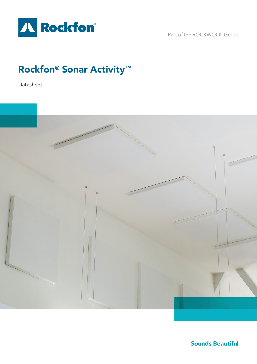

Part of the ROCKWOOL Group

# Rockfon® Sonar Activity™

Datasheet



Sounds Beautiful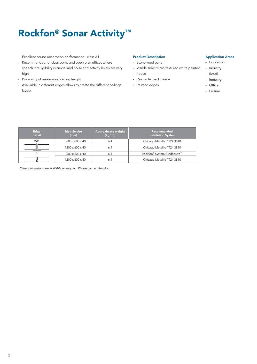# Rockfon® Sonar Activity™

- Excellent sound absorption performance class A1
- Recommended for classrooms and open plan offices where speech intelligibility is crucial and noise and activity levels are very high
- Possibility of maximizing ceiling height
- Availiable in different edges allows to create the different ceilings layout

#### Product Description

- Stone wool panel
- Visible side: micro-textured white painted fleece
- Rear side: back fleece
- Painted edges

#### Application Areas

- Education
- Industry
- Retail
- Industry
- Office
- Leisure

| Edge,<br>detail | <b>Module size</b><br>(mm)  | <b>Approximate weight</b><br>(kq/m <sup>2</sup> ) | Recommended<br>installation System |
|-----------------|-----------------------------|---------------------------------------------------|------------------------------------|
| A24             | $600 \times 600 \times 40$  | 6,4                                               | Chicago Metallic™ T24 3810         |
|                 | $1200 \times 600 \times 40$ | 6,4                                               | Chicago Metallic™ T24 3810         |
| B               | $600 \times 600 \times 40$  | 6,4                                               | Rockfon® System B Adhesive™        |
|                 | $1200 \times 600 \times 40$ | 6,4                                               | Chicago Metallic™ T24 3810         |

*Other dimensions are available on request. Please contact Rockfon.*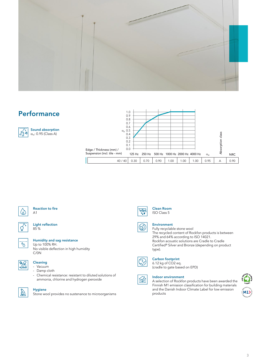

### **Performance**



|                              | 1.0<br>0.9<br>0.8<br>0.7<br>0.6 |        |      |                                |      |      |                  |                     |            |
|------------------------------|---------------------------------|--------|------|--------------------------------|------|------|------------------|---------------------|------------|
| $\alpha_{\rm p}$ 0.5         | 0.4<br>0.3<br>0.2<br>0.1        |        |      |                                |      |      |                  | class<br>Absorption |            |
| Edge / Thickness (mm) /      | 0.0                             |        |      |                                |      |      |                  |                     |            |
| Suspension (incl. tile - mm) | 125 Hz                          | 250 Hz |      | 500 Hz 1000 Hz 2000 Hz 4000 Hz |      |      | $\alpha_{\rm w}$ |                     | <b>NRC</b> |
| 40/40                        | 0.30                            | 0.70   | 0.90 | 1.00                           | 1.00 | 1.00 | 0.95             | А                   | 0.90       |



#### Reaction to fire A1

|--|

## Light reflection

### 85 %



#### Humidity and sag resistance

Up to 100% RH. No visible deflection in high humidity C/0N



- Cleaning
- Vacuum
- Damp cloth
- Chemical resistance: resistant to diluted solutions of ammonia, chlorine and hydrogen peroxide



#### Hygiene

Stone wool provides no sustenance to microorganisms



 $\circledR$ 

Clean Room ISO Class 5



Fully recyclable stone wool The recycled content of Rockfon products is between 29% and 64% according to ISO 14021. Rockfon acoustic solutions are Cradle to Cradle Certified® Silver and Bronze (depending on product type).



#### Carbon footprint

6.12 kg of CO2 eq. (cradle to gate based on EPD)



### Indoor environment

A selection of Rockfon products have been awarded the Finnish M1 emission classification for building materials and the Danish Indoor Climate Label for low emission products